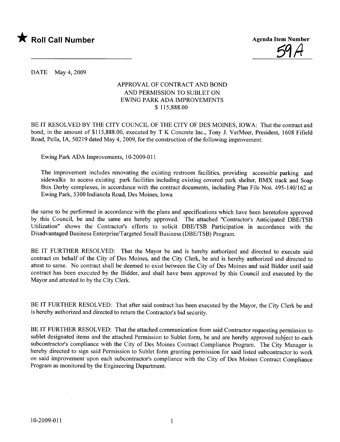



DATE May 4, 2009

## APPROVAL OF CONTRACT AND BOND AND PERMISSION TO SUBLET ON EWING PARK ADA IMPROVEMENTS \$ 115,888.00

BE IT RESOLVED BY THE CITY COUNCIL OF THE CITY OF DES MOINES, IOWA: That the contract and bond, in the amount of \$115,888.00, executed by T K Concrete Inc., Tony J. VerMeer, President, 1608 Fifield Road, Pella, IA, 50219 dated May 4,2009, for the construction of the following improvement:

Ewing Park ADA Improvements, 10-2009-011

The improvement includes renovating the existing restroom facilities, providing accessible parking and sidewalks to access existing park facilities including existing covered park shelter, BMX track and Soap Box Derby complexes, in accordance with the contract documents, including Plan File Nos. 495-140/162 at Ewing Park, 5300 Indianola Road, Des Moines, Iowa

the same to be performed in accordance with the plans and specifications which have been heretofore approved by this Council, be and the same are hereby approved. The attached "Contractor's Anticipated DBE/TSB Utilzation" shows the Contractor's efforts to solicit DBE/TSB Participation in accordance with the Disadvantaged Business Enterprise/Targeted Small Business (DBE/TSB) Program.

BE IT FURTHER RESOLVED: That the Mayor be and is hereby authorized and directed to execute said contract on behalf of the City of Des Moines, and the City Clerk, be and is hereby authorized and directed to attest to same. No contract shall be deemed to exist between the City of Des Moines and said Bidder until said contract has been executed by the Bidder, and shall have been approved by this Council and executed by the Mayor and attested to by the City Clerk.

BE IT FURTHER RESOLVED: That after said contract has been executed by the Mayor, the City Clerk be and is hereby authorized and directed to return the Contractor's bid security.

BE IT FURTHER RESOLVED: That the attached communication from said Contractor requesting permission to sublet designated items and the attached Permission to Sublet form, be and are hereby approved subject to each subcontractor's compliance with the City of Des Moines Contract Compliance Program. The City Manager is hereby directed to sign said Permission to Sublet form granting permission for said listed subcontractor to work on said improvement upon each subcontractor's compliance with the City of Des Moines Contract Compliance Program as monitored by the Engineering Department.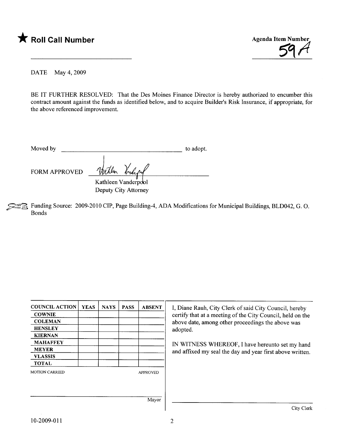



DATE May 4, 2009

BE IT FURTHER RESOLVED: That the Des Moines Finance Director is hereby authorized to encumber this contract amount against the funds as identified below, and to acquire Builder's Risk Insurance, if appropriate, for the above referenced improvement.

| Moved by | to adopt. |
|----------|-----------|
|          |           |
|          |           |

 $\mathbb{R}$  Funding Source: 2009-2010 CIP, Page Building-4, ADA Modifications for Municipal Buildings, BLD042, G. O. Bonds

| <b>COUNCIL ACTION</b> | <b>YEAS</b>                                     | <b>NAYS</b> | <b>PASS</b> | <b>ABSENT</b>   | I, Diane Rauh, City Clerk of said City Council, hereby     |  |  |
|-----------------------|-------------------------------------------------|-------------|-------------|-----------------|------------------------------------------------------------|--|--|
| <b>COWNIE</b>         |                                                 |             |             |                 | certify that at a meeting of the City Council, held on the |  |  |
| <b>COLEMAN</b>        |                                                 |             |             |                 | above date, among other proceedings the above was          |  |  |
| <b>HENSLEY</b>        |                                                 |             |             |                 | adopted.                                                   |  |  |
| <b>KIERNAN</b>        |                                                 |             |             |                 |                                                            |  |  |
| <b>MAHAFFEY</b>       | IN WITNESS WHEREOF, I have hereunto set my hand |             |             |                 |                                                            |  |  |
| <b>MEYER</b>          |                                                 |             |             |                 | and affixed my seal the day and year first above written.  |  |  |
| <b>VLASSIS</b>        |                                                 |             |             |                 |                                                            |  |  |
| <b>TOTAL</b>          |                                                 |             |             |                 |                                                            |  |  |
| <b>MOTION CARRIED</b> |                                                 |             |             | <b>APPROVED</b> |                                                            |  |  |
|                       |                                                 |             |             |                 |                                                            |  |  |
|                       |                                                 |             |             | Mayor           |                                                            |  |  |
|                       |                                                 |             |             |                 | City Cler                                                  |  |  |

FORM APPROVED With Vriden Deputy City Attorney